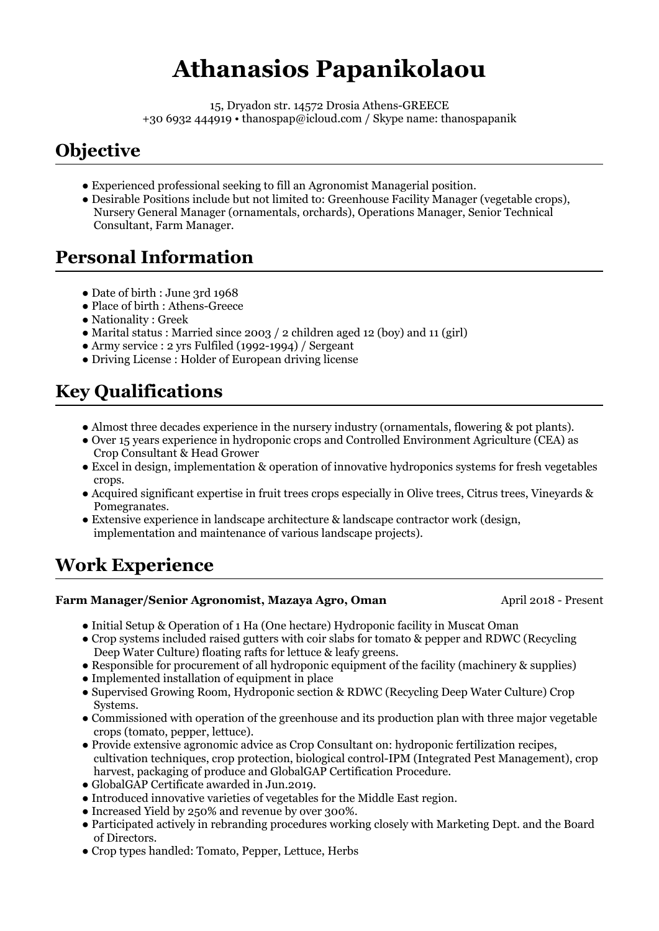# **Athanasios Papanikolaou**

15, Dryadon str. 14572 Drosia Athens-GREECE +30 6932 444919 • thanospap@icloud.com / Skype name: thanospapanik

## **Objective**

- Experienced professional seeking to fill an Agronomist Managerial position.
- Desirable Positions include but not limited to: Greenhouse Facility Manager (vegetable crops), Nursery General Manager (ornamentals, orchards), Operations Manager, Senior Technical Consultant, Farm Manager.

## **Personal Information**

- Date of birth : June 3rd 1968
- Place of birth : Athens-Greece
- Nationality : Greek
- Marital status : Married since 2003 / 2 children aged 12 (boy) and 11 (girl)
- Army service : 2 yrs Fulfiled (1992-1994) / Sergeant
- Driving License : Holder of European driving license

## **Key Qualifications**

- Almost three decades experience in the nursery industry (ornamentals, flowering & pot plants).
- Over 15 years experience in hydroponic crops and Controlled Environment Agriculture (CEA) as Crop Consultant & Head Grower
- Excel in design, implementation & operation of innovative hydroponics systems for fresh vegetables crops.
- Acquired significant expertise in fruit trees crops especially in Olive trees, Citrus trees, Vineyards & Pomegranates.
- Extensive experience in landscape architecture & landscape contractor work (design, implementation and maintenance of various landscape projects).

## **Work Experience**

### **Farm Manager/Senior Agronomist, Mazaya Agro, Oman**

April 2018 - Present

- Initial Setup & Operation of 1 Ha (One hectare) Hydroponic facility in Muscat Oman
- Crop systems included raised gutters with coir slabs for tomato & pepper and RDWC (Recycling Deep Water Culture) floating rafts for lettuce & leafy greens.
- Responsible for procurement of all hydroponic equipment of the facility (machinery & supplies)
- Implemented installation of equipment in place
- Supervised Growing Room, Hydroponic section & RDWC (Recycling Deep Water Culture) Crop Systems.
- Commissioned with operation of the greenhouse and its production plan with three major vegetable crops (tomato, pepper, lettuce).
- Provide extensive agronomic advice as Crop Consultant on: hydroponic fertilization recipes, cultivation techniques, crop protection, biological control-IPM (Integrated Pest Management), crop harvest, packaging of produce and GlobalGAP Certification Procedure.
- GlobalGAP Certificate awarded in Jun.2019.
- Introduced innovative varieties of vegetables for the Middle East region.
- Increased Yield by 250% and revenue by over 300%.
- Participated actively in rebranding procedures working closely with Marketing Dept. and the Board of Directors.
- Crop types handled: Tomato, Pepper, Lettuce, Herbs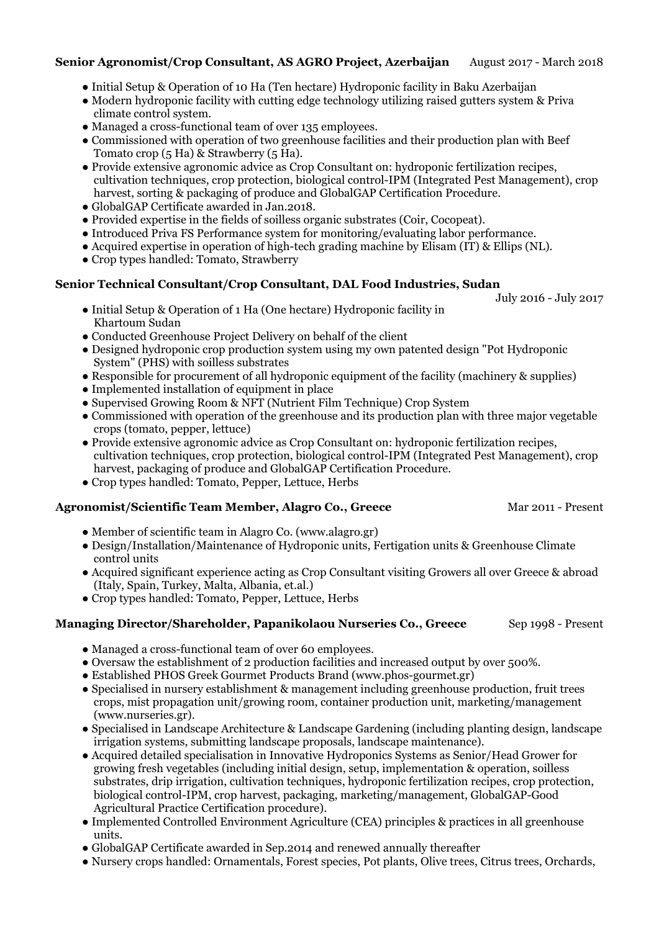#### August 2017 - March 2018 **Senior Agronomist/Crop Consultant, AS AGRO Project, Azerbaijan**

- Initial Setup & Operation of 10 Ha (Ten hectare) Hydroponic facility in Baku Azerbaijan
- Modern hydroponic facility with cutting edge technology utilizing raised gutters system & Priva climate control system.
- Managed a cross-functional team of over 135 employees.
- Commissioned with operation of two greenhouse facilities and their production plan with Beef Tomato crop (5 Ha) & Strawberry (5 Ha).
- Provide extensive agronomic advice as Crop Consultant on: hydroponic fertilization recipes, cultivation techniques, crop protection, biological control-IPM (Integrated Pest Management), crop harvest, sorting & packaging of produce and GlobalGAP Certification Procedure.
- GlobalGAP Certificate awarded in Jan.2018.
- Provided expertise in the fields of soilless organic substrates (Coir, Cocopeat).
- Introduced Priva FS Performance system for monitoring/evaluating labor performance.
- Acquired expertise in operation of high-tech grading machine by Elisam (IT) & Ellips (NL).
- Crop types handled: Tomato, Strawberry

### **Senior Technical Consultant/Crop Consultant, DAL Food Industries, Sudan**

- Initial Setup & Operation of 1 Ha (One hectare) Hydroponic facility in Khartoum Sudan
- Conducted Greenhouse Project Delivery on behalf of the client
- Designed hydroponic crop production system using my own patented design "Pot Hydroponic System" (PHS) with soilless substrates
- Responsible for procurement of all hydroponic equipment of the facility (machinery & supplies)
- Implemented installation of equipment in place
- Supervised Growing Room & NFT (Nutrient Film Technique) Crop System
- Commissioned with operation of the greenhouse and its production plan with three major vegetable crops (tomato, pepper, lettuce)
- Provide extensive agronomic advice as Crop Consultant on: hydroponic fertilization recipes, cultivation techniques, crop protection, biological control-IPM (Integrated Pest Management), crop harvest, packaging of produce and GlobalGAP Certification Procedure.

Mar 2011 - Present

July 2016 - July 2017

Sep 1998 - Present

● Crop types handled: Tomato, Pepper, Lettuce, Herbs

### **Agronomist/Scientific Team Member, Alagro Co., Greece**

- Member of scientific team in Alagro Co. (www.alagro.gr)
- Design/Installation/Maintenance of Hydroponic units, Fertigation units & Greenhouse Climate control units
- Acquired significant experience acting as Crop Consultant visiting Growers all over Greece & abroad (Italy, Spain, Turkey, Malta, Albania, et.al.)
- Crop types handled: Tomato, Pepper, Lettuce, Herbs

### **Managing Director/Shareholder, Papanikolaou Nurseries Co., Greece**

- Managed a cross-functional team of over 60 employees.
- Oversaw the establishment of 2 production facilities and increased output by over 500%.
- Established PHOS Greek Gourmet Products Brand (www.phos-gourmet.gr)
- Specialised in nursery establishment & management including greenhouse production, fruit trees crops, mist propagation unit/growing room, container production unit, marketing/management (www.nurseries.gr).
- Specialised in Landscape Architecture & Landscape Gardening (including planting design, landscape irrigation systems, submitting landscape proposals, landscape maintenance).
- Acquired detailed specialisation in Innovative Hydroponics Systems as Senior/Head Grower for growing fresh vegetables (including initial design, setup, implementation & operation, soilless substrates, drip irrigation, cultivation techniques, hydroponic fertilization recipes, crop protection, biological control-IPM, crop harvest, packaging, marketing/management, GlobalGAP-Good Agricultural Practice Certification procedure).
- Implemented Controlled Environment Agriculture (CEA) principles & practices in all greenhouse units.
- GlobalGAP Certificate awarded in Sep.2014 and renewed annually thereafter
- Nursery crops handled: Ornamentals, Forest species, Pot plants, Olive trees, Citrus trees, Orchards,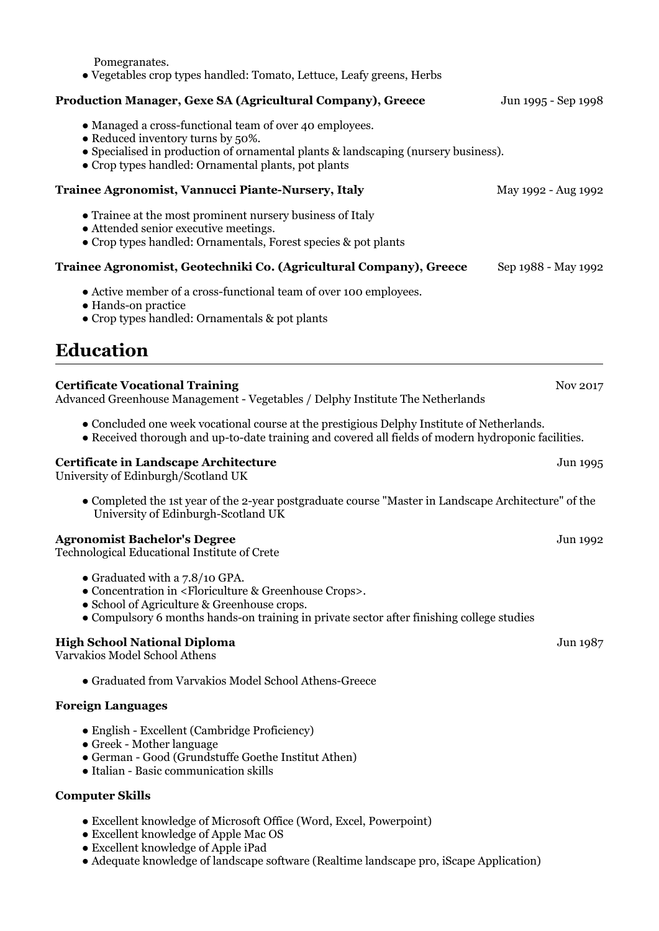| Pomegranates.<br>• Vegetables crop types handled: Tomato, Lettuce, Leafy greens, Herbs                                                                                                                                                                            |                     |
|-------------------------------------------------------------------------------------------------------------------------------------------------------------------------------------------------------------------------------------------------------------------|---------------------|
| Production Manager, Gexe SA (Agricultural Company), Greece                                                                                                                                                                                                        | Jun 1995 - Sep 1998 |
| • Managed a cross-functional team of over 40 employees.<br>• Reduced inventory turns by 50%.<br>• Specialised in production of ornamental plants & landscaping (nursery business).<br>• Crop types handled: Ornamental plants, pot plants                         |                     |
| Trainee Agronomist, Vannucci Piante-Nursery, Italy                                                                                                                                                                                                                | May 1992 - Aug 1992 |
| • Trainee at the most prominent nursery business of Italy<br>• Attended senior executive meetings.<br>• Crop types handled: Ornamentals, Forest species & pot plants                                                                                              |                     |
| Trainee Agronomist, Geotechniki Co. (Agricultural Company), Greece                                                                                                                                                                                                | Sep 1988 - May 1992 |
| • Active member of a cross-functional team of over 100 employees.<br>• Hands-on practice<br>• Crop types handled: Ornamentals & pot plants                                                                                                                        |                     |
| <b>Education</b>                                                                                                                                                                                                                                                  |                     |
| <b>Certificate Vocational Training</b><br>Advanced Greenhouse Management - Vegetables / Delphy Institute The Netherlands                                                                                                                                          | Nov 2017            |
| • Concluded one week vocational course at the prestigious Delphy Institute of Netherlands.<br>• Received thorough and up-to-date training and covered all fields of modern hydroponic facilities.                                                                 |                     |
| Certificate in Landscape Architecture<br>University of Edinburgh/Scotland UK                                                                                                                                                                                      | Jun 1995            |
| • Completed the 1st year of the 2-year postgraduate course "Master in Landscape Architecture" of the<br>University of Edinburgh-Scotland UK                                                                                                                       |                     |
| <b>Agronomist Bachelor's Degree</b><br>Technological Educational Institute of Crete                                                                                                                                                                               | Jun 1992            |
| • Graduated with a 7.8/10 GPA.<br>• Concentration in <floriculture &="" crops="" greenhouse="">.<br/>• School of Agriculture &amp; Greenhouse crops.<br/>• Compulsory 6 months hands-on training in private sector after finishing college studies</floriculture> |                     |
| <b>High School National Diploma</b><br>Varvakios Model School Athens                                                                                                                                                                                              | Jun 1987            |
| • Graduated from Varvakios Model School Athens-Greece                                                                                                                                                                                                             |                     |
| <b>Foreign Languages</b>                                                                                                                                                                                                                                          |                     |
| • English - Excellent (Cambridge Proficiency)<br>• Greek - Mother language                                                                                                                                                                                        |                     |

- German Good (Grundstuffe Goethe Institut Athen)
- Italian Basic communication skills

### **Computer Skills**

- Excellent knowledge of Microsoft Office (Word, Excel, Powerpoint)
- Excellent knowledge of Apple Mac OS
- Excellent knowledge of Apple iPad
- Adequate knowledge of landscape software (Realtime landscape pro, iScape Application)